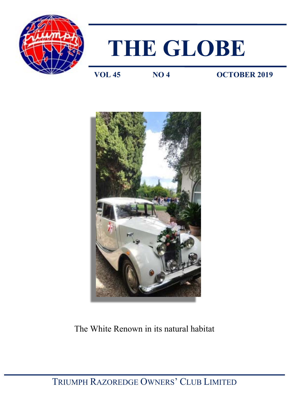



**VOL 45 NO 4 OCTOBER 2019**



# The White Renown in its natural habitat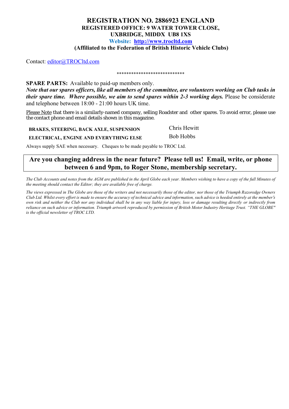### **REGISTRATION NO. 2886923 ENGLAND REGISTERED OFFICE: 9 WATER TOWER CLOSE, UXBRIDGE, MIDDX UB8 1XS Website: [http://www.trocltd.com](http://www.trocltd.com/) (Affiliated to the Federation of British Historic Vehicle Clubs)**

Contact: [editor@TROCltd.com](mailto:editor@TROCltd.com)

### \*\*\*\*\*\*\*\*\*\*\*\*\*\*\*\*\*\*\*\*\*\*\*\*\*\*\*\*

**SPARE PARTS:** Available to paid-up members only. *Note that our spares officers, like all members of the committee, are volunteers working on Club tasks in their spare time. Where possible, we aim to send spares within 2-3 working days. Please be considerate* and telephone between 18:00 - 21:00 hours UK time.

Please Note that there is a similarly-named company, selling Roadster and other spares. To avoid error, please use the contact phone and email details shown in this magazine.

**BRAKES, STEERING, BACK AXLE, SUSPENSION** Chris Hewitt

**ELECTRICAL, ENGINE AND EVERYTHING ELSE** Bob Hobbs

Always supply SAE when necessary. Cheques to be made payable to TROC Ltd.

### **Are you changing address in the near future? Please tell us! Email, write, or phone between 6 and 9pm, to Roger Stone, membership secretary.**

*The Club Accounts and notes from the AGM are published in the April Globe each year. Members wishing to have a copy of the full Minutes of the meeting should contact the Editor; they are available free of charge.*

*The views expressed in The Globe are those of the writers and not necessarily those of the editor, nor those of the Triumph Razoredge Owners Club Ltd. Whilst every effort is made to ensure the accuracy of technical advice and information, such advice is heeded entirely at the member*'*s own risk and neither the Club nor any individual shall be in any way liable for injury, loss or damage resulting directly or indirectly from reliance on such advice or information. Triumph artwork reproduced by permission of British Motor Industry Heritage Trust. "THE GLOBE" is the official newsletter of TROC LTD.*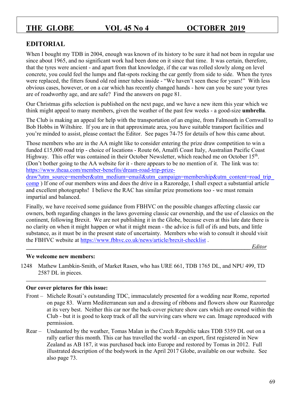## **EDITORIAL**

When I bought my TDB in 2004, enough was known of its history to be sure it had not been in regular use since about 1965, and no significant work had been done on it since that time. It was certain, therefore, that the tyres were ancient - and apart from that knowledge, if the car was rolled slowly along on level concrete, you could feel the lumps and flat-spots rocking the car gently from side to side. When the tyres were replaced, the fitters found old red inner tubes inside - "We haven't seen these for years!" With less obvious cases, however, or on a car which has recently changed hands - how can you be sure your tyres are of roadworthy age, and are safe? Find the answers on page 81.

Our Christmas gifts selection is published on the next page, and we have a new item this year which we think might appeal to many members, given the weather of the past few weeks - a good-size **umbrella**.

The Club is making an appeal for help with the transportation of an engine, from Falmouth in Cornwall to Bob Hobbs in Wiltshire. If you are in that approximate area, you have suitable transport facilities and you're minded to assist, please contact the Editor. See pages 74-75 for details of how this came about.

Those members who are in the AA might like to consider entering the prize draw competition to win a funded £15,000 road trip - choice of locations - Route 66, Amalfi Coast Italy, Australian Pacific Coast Highway. This offer was contained in their October Newsletter, which reached me on October 15<sup>th</sup>. (Don't bother going to the AA website for it - there appears to be no mention of it. The link was to: [https://www.theaa.com/member-benefits/dream-road-trip-prize-](https://www.theaa.com/member-benefits/dream-road-trip-prize-draw?utm_source=member&utm_medium=email&utm_campaign=membership&utm_content=road_trip_comp)

draw?utm\_source=member&utm\_medium=email&utm\_campaign=membership&utm\_content=road\_trip [comp](https://www.theaa.com/member-benefits/dream-road-trip-prize-draw?utm_source=member&utm_medium=email&utm_campaign=membership&utm_content=road_trip_comp) ) If one of our members wins and does the drive in a Razoredge, I shall expect a substantial article and excellent photographs! I believe the RAC has similar prize promotions too - we must remain impartial and balanced.

Finally, we have received some guidance from FBHVC on the possible changes affecting classic car owners, both regarding changes in the laws governing classic car ownership, and the use of classics on the continent, following Brexit. We are not publishing it in the Globe, because even at this late date there is no clarity on when it might happen or what it might mean - the advice is full of ifs and buts, and little substance, as it must be in the present state of uncertainty. Members who wish to consult it should visit the FBHVC website at<https://www.fbhvc.co.uk/news/article/brexit-checklist> .

**\_\_\_\_\_\_\_\_\_\_\_\_\_\_\_\_\_\_\_\_\_\_\_\_\_\_\_\_\_\_\_\_\_\_\_\_\_\_\_\_\_\_\_\_\_\_\_\_\_\_\_\_\_\_\_\_\_\_\_\_\_\_\_\_\_\_\_\_\_\_\_\_\_\_\_\_\_** *Editor*

### **We welcome new members:**

1248 Mathew Lambkin-Smith, of Market Rasen, who has URE 661, TDB 1765 DL, and NPU 499, TD 2587 DL in pieces.

**\_\_\_\_\_\_\_\_\_\_\_\_\_\_\_\_\_\_\_\_\_\_\_\_\_\_\_\_\_\_\_\_\_\_\_\_\_\_\_\_\_\_\_\_\_\_\_\_\_\_\_\_\_\_\_\_\_\_\_\_\_\_\_\_\_\_\_\_\_\_\_\_\_\_\_\_\_\_\_\_\_\_\_\_\_\_\_\_\_\_\_\_\_\_\_\_\_\_\_**

### **Our cover pictures for this issue:**

- Front Michele Rosati's outstanding TDC, immaculately presented for a wedding near Rome, reported on page 83. Warm Mediterranean sun and a dressing of ribbons and flowers show our Razoredge at its very best. Neither this car nor the back-cover picture show cars which are owned within the Club - but it is good to keep track of all the surviving cars where we can. Image reproduced with permission.
- Rear Undaunted by the weather, Tomas Malan in the Czech Republic takes TDB 5359 DL out on a rally earlier this month. This car has travelled the world - an export, first registered in New Zealand as AB 187, it was purchased back into Europe and restored by Tomas in 2012. Full illustrated description of the bodywork in the April 2017 Globe, available on our website. See also page 73.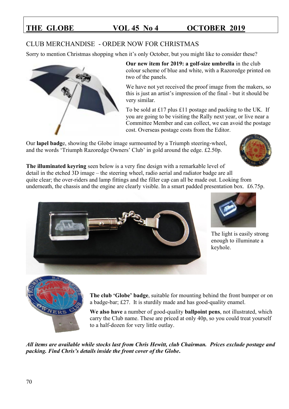## CLUB MERCHANDISE - ORDER NOW FOR CHRISTMAS

Sorry to mention Christmas shopping when it's only October, but you might like to consider these?



**Our new item for 2019: a golf-size umbrella** in the club colour scheme of blue and white, with a Razoredge printed on two of the panels.

We have not yet received the proof image from the makers, so this is just an artist's impression of the final - but it should be very similar.

To be sold at £17 plus £11 postage and packing to the UK. If you are going to be visiting the Rally next year, or live near a Committee Member and can collect, we can avoid the postage cost. Overseas postage costs from the Editor.

Our **lapel badg**e, showing the Globe image surmounted by a Triumph steering-wheel, and the words 'Triumph Razoredge Owners' Club' in gold around the edge. £2.50p.



**The illuminated keyring** seen below is a very fine design with a remarkable level of detail in the etched 3D image – the steering wheel, radio aerial and radiator badge are all quite clear; the over-riders and lamp fittings and the filler cap can all be made out. Looking from underneath, the chassis and the engine are clearly visible. In a smart padded presentation box. £6.75p.





The light is easily strong enough to illuminate a keyhole.



**The club 'Globe' badge**, suitable for mounting behind the front bumper or on a badge-bar; £27. It is sturdily made and has good-quality enamel.

**We also have** a number of good-quality **ballpoint pens**, not illustrated, which carry the Club name. These are priced at only 40p, so you could treat yourself to a half-dozen for very little outlay.

*All items are available while stocks last from Chris Hewitt, club Chairman. Prices exclude postage and packing. Find Chris's details inside the front cover of the Globe***.**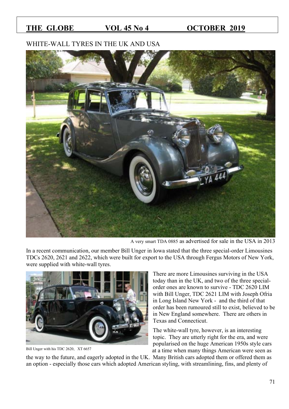## WHITE-WALL TYRES IN THE UK AND USA



A very smart TDA 0885 as advertised for sale in the USA in 2013

In a recent communication, our member Bill Unger in Iowa stated that the three special-order Limousines TDCs 2620, 2621 and 2622, which were built for export to the USA through Fergus Motors of New York, were supplied with white-wall tyres.



Bill Unger with his TDC 2620, XT 6657

There are more Limousines surviving in the USA today than in the UK, and two of the three specialorder ones are known to survive - TDC 2620 LIM with Bill Unger, TDC 2621 LIM with Joseph Ofria in Long Island New York - and the third of that order has been rumoured still to exist, believed to be in New England somewhere. There are others in Texas and Connecticut.

The white-wall tyre, however, is an interesting topic. They are utterly right for the era, and were popularised on the huge American 1950s style cars at a time when many things American were seen as

the way to the future, and eagerly adopted in the UK. Many British cars adopted them or offered them as an option - especially those cars which adopted American styling, with streamlining, fins, and plenty of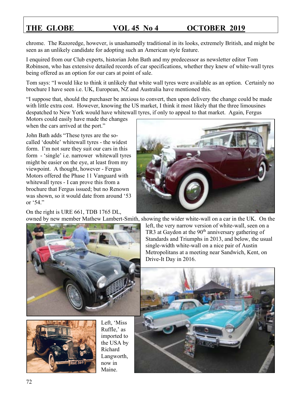chrome. The Razoredge, however, is unashamedly traditional in its looks, extremely British, and might be seen as an unlikely candidate for adopting such an American style feature.

I enquired from our Club experts, historian John Bath and my predecessor as newsletter editor Tom Robinson, who has extensive detailed records of car specifications, whether they knew of white-wall tyres being offered as an option for our cars at point of sale.

Tom says: "I would like to think it unlikely that white wall tyres were available as an option. Certainly no brochure I have seen i.e. UK, European, NZ and Australia have mentioned this.

"I suppose that, should the purchaser be anxious to convert, then upon delivery the change could be made with little extra cost. However, knowing the US market, I think it most likely that the three limousines despatched to New York would have whitewall tyres, if only to appeal to that market. Again, Fergus

Motors could easily have made the changes when the cars arrived at the port."

John Bath adds "These tyres are the socalled 'double' whitewall tyres - the widest form. I'm not sure they suit our cars in this form - 'single' i.e. narrower whitewall tyres might be easier on the eye, at least from my viewpoint. A thought, however - Fergus Motors offered the Phase 11 Vanguard with whitewall tyres - I can prove this from a brochure that Fergus issued; but no Renown was shown, so it would date from around '53 or '54."

On the right is URE 661, TDB 1765 DL,





Left, 'Miss Ruffle,' as imported to the USA by Richard Langworth, now in Maine.

owned by new member Mathew Lambert-Smith, showing the wider white-wall on a car in the UK. On the left, the very narrow version of white-wall, seen on a TR3 at Gaydon at the  $90<sup>th</sup>$  anniversary gathering of Standards and Triumphs in 2013, and below, the usual single-width white-wall on a nice pair of Austin Metropolitans at a meeting near Sandwich, Kent, on Drive-It Day in 2016.

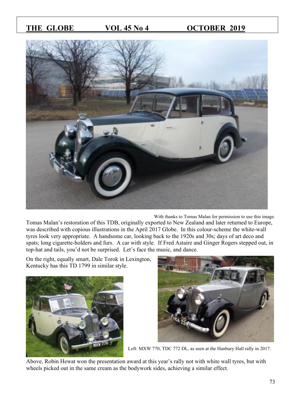

With thanks to Tomas Malan for permission to use this image.

Tomas Malan's restoration of this TDB, originally exported to New Zealand and later returned to Europe, was described with copious illustrations in the April 2017 Globe. In this colour-scheme the white-wall tyres look very appropriate. A handsome car, looking back to the 1920s and 30s; days of art deco and spats; long cigarette-holders and furs. A car with style. If Fred Astaire and Ginger Rogers stepped out, in top-hat and tails, you'd not be surprised. Let's face the music, and dance.

On the right, equally smart, Dale Torok in Lexington, Kentucky has this TD 1799 in similar style.





Left: MXW 770, TDC 772 DL, as seen at the Hanbury Hall rally in 2017.

Above, Robin Hewat won the presentation award at this year's rally not with white wall tyres, but with wheels picked out in the same cream as the bodywork sides, achieving a similar effect.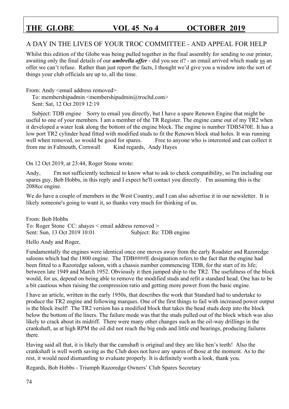### A DAY IN THE LIVES OF YOUR TROC COMMITTEE - AND APPEAL FOR HELP

Whilst this edition of the Globe was being pulled together in the final assembly for sending to our printer, awaiting only the final details of our *umbrella offer* - did you see it? - an email arrived which made us an offer we can't refuse. Rather than just report the facts, I thought we'd give you a window into the sort of things your club officials are up to, all the time.

From: Andy <email address removed>

To: membershipadmin  $\leq$ membershipadmin $@$ trocltd.com $>$ Sent: Sat, 12 Oct 2019 12:19

 Subject: TDB engine Sorry to email you directly, but I have a spare Renown Engine that might be useful to one of your members. I am a member of the TR Register. The engine came out of my TR2 when it developed a water leak along the bottom of the engine block. The engine is number TDB5470E. It has a low port TR2 cylinder head fitted with modified studs to fit the Renown block stud holes. It was running well when removed, so would be good for spares. Free to anyone who is interested and can collect it from me in Falmouth, Cornwall Kind regards, Andy Hayes

On 12 Oct 2019, at 23:44, Roger Stone wrote:

Andy, I'm not sufficiently technical to know what to ask to check compatibility, so I'm including our spares guy, Bob Hobbs, in this reply and I expect he'll contact you directly. I'm assuming this is the 2088cc engine.

We do have a couple of members in the West Country, and I can also advertise it in our newsletter. It is likely someone's going to want it, so thanks very much for thinking of us.

From: Bob Hobbs To: Roger Stone CC: ahayes < email address removed > Sent: Sun, 13 Oct 2019 10:01 Subject: Re: TDB engine

Hello Andy and Roger,

Fundamentally the engines were identical once one moves away from the early Roadster and Razoredge saloons which had the 1800 engine. The TDB####E designation refers to the fact that the engine had been fitted to a Razoredge saloon, with a chassis number commencing TDB, for the start of its life; between late 1949 and March 1952. Obviously it then jumped ship to the TR2. The usefulness of the block would, for us, depend on being able to remove the modified studs and refit a standard head. One has to be a bit cautious when raising the compression ratio and getting more power from the basic engine.

I have an article, written in the early 1950s, that describes the work that Standard had to undertake to produce the TR2 engine and following marques. One of the first things to fail with increased power output is the block itself! The TR2 version has a modified block that takes the head studs deep into the block below the bottom of the liners. The failure mode was that the studs pulled out of the block which was also likely to crack about its midriff. There were many other changes such as the oil-way drillings in the crankshaft, as at high RPM the oil did not reach the big ends and little end bearings, producing failures there.

Having said all that, it is likely that the camshaft is original and they are like hen's teeth! Also the crankshaft is well worth saving as the Club does not have any spares of those at the moment. As to the rest, it would need dismantling to evaluate properly. It is definitely worth a look, thank you.

Regards, Bob Hobbs - Triumph Razoredge Owners' Club Spares Secretary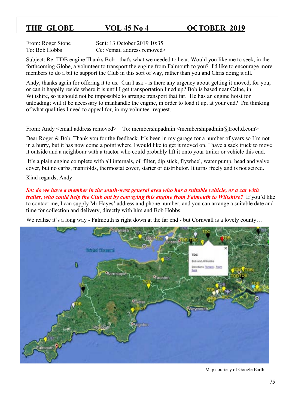From: Roger Stone Sent: 13 October 2019 10:35 To: Bob Hobbs Cc: <email address removed>

Subject: Re: TDB engine Thanks Bob - that's what we needed to hear. Would you like me to seek, in the forthcoming Globe, a volunteer to transport the engine from Falmouth to you? I'd like to encourage more members to do a bit to support the Club in this sort of way, rather than you and Chris doing it all.

Andy, thanks again for offering it to us. Can I ask - is there any urgency about getting it moved, for you, or can it happily reside where it is until I get transportation lined up? Bob is based near Calne, in Wiltshire, so it should not be impossible to arrange transport that far. He has an engine hoist for unloading; will it be necessary to manhandle the engine, in order to load it up, at your end? I'm thinking of what qualities I need to appeal for, in my volunteer request.

From: Andy <email address removed> To: membershipadmin <membershipadmin@trocltd.com>

Dear Roger & Bob, Thank you for the feedback. It's been in my garage for a number of years so I'm not in a hurry, but it has now come a point where I would like to get it moved on. I have a sack truck to move it outside and a neighbour with a tractor who could probably lift it onto your trailer or vehicle this end.

It's a plain engine complete with all internals, oil filter, dip stick, flywheel, water pump, head and valve cover, but no carbs, manifolds, thermostat cover, starter or distributor. It turns freely and is not seized.

Kind regards, Andy

*So: do we have a member in the south-west general area who has a suitable vehicle, or a car with trailer, who could help the Club out by conveying this engine from Falmouth to Wiltshire?* If you'd like to contact me, I can supply Mr Hayes' address and phone number, and you can arrange a suitable date and time for collection and delivery, directly with him and Bob Hobbs.

We realise it's a long way - Falmouth is right down at the far end - but Cornwall is a lovely county...



Map courtesy of Google Earth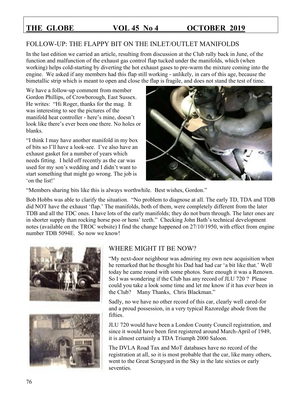## FOLLOW-UP: THE FLAPPY BIT ON THE INLET/OUTLET MANIFOLDS

In the last edition we carried an article, resulting from discussion at the Club rally back in June, of the function and malfunction of the exhaust gas control flap tucked under the manifolds, which (when working) helps cold-starting by diverting the hot exhaust gases to pre-warm the mixture coming into the engine. We asked if any members had this flap still working - unlikely, in cars of this age, because the bimetallic strip which is meant to open and close the flap is fragile, and does not stand the test of time.

We have a follow-up comment from member Gordon Phillips, of Crowborough, East Sussex. He writes: "Hi Roger, thanks for the mag. It was interesting to see the pictures of the manifold heat controller - here's mine, doesn't look like there's ever been one there. No holes or blanks.

"I think I may have another manifold in my box of bits so I'll have a look-see. I've also have an exhaust gasket for a number of years which needs fitting. I held off recently as the car was used for my son's wedding and I didn't want to start something that might go wrong. The job is 'on the list!'



"Members sharing bits like this is always worthwhile. Best wishes, Gordon."

Bob Hobbs was able to clarify the situation. "No problem to diagnose at all. The early TD, TDA and TDB did NOT have the exhaust 'flap.' The manifolds, both of them, were completely different from the later TDB and all the TDC ones. I have lots of the early manifolds; they do not burn through. The later ones are in shorter supply than rocking horse poo or hens' teeth." Checking John Bath's technical development notes (available on the TROC website) I find the change happened on 27/10/1950, with effect from engine number TDB 5094E. So now we know!





## WHERE MIGHT IT BE NOW?

"My next-door neighbour was admiring my own new acquisition when he remarked that he thought his Dad had had car 'a bit like that.' Well today he came round with some photos. Sure enough it was a Renown. So I was wondering if the Club has any record of JLU 720 ? Please could you take a look some time and let me know if it has ever been in the Club? Many Thanks, Chris Blackman."

Sadly, no we have no other record of this car, clearly well cared-for and a proud possession, in a very typical Razoredge abode from the fifties.

JLU 720 would have been a London County Council registration, and since it would have been first registered around March-April of 1949, it is almost certainly a TDA Triumph 2000 Saloon.

The DVLA Road Tax and MoT databases have no record of the registration at all, so it is most probable that the car, like many others, went to the Great Scrapyard in the Sky in the late sixties or early seventies.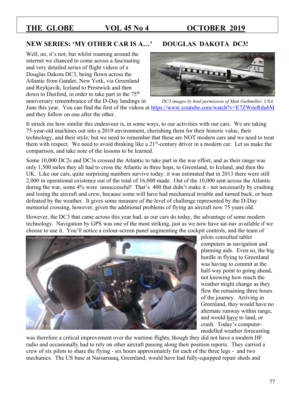### **NEW SERIES: 'MY OTHER CAR IS A…' DOUGLAS DAKOTA DC3!**

Well, no, it's not; but whilst roaming around the internet we chanced to come across a fascinating and very detailed series of flight videos of a Douglas Dakota DC3, being flown across the Atlantic from Gander, New York, via Greenland and Reykjavík, Iceland to Prestwick and then down to Duxford, in order to take part in the  $75<sup>th</sup>$ 



anniversary remembrance of the D-Day landings in *DC3 images by kind permission of Matt Guthmiller, USA* June this year. You can find the first of the videos at<https://www.youtube.com/watch?v=E7ZWneRdu6M> and they follow on one after the other.

It struck me how similar this endeavour is, in some ways, to our activities with our cars. We are taking 75-year-old machines out into a 2019 environment, cherishing them for their historic value, their technology, and their style; but we need to remember that these are NOT modern cars and we need to treat them with respect. We need to avoid thinking like a 21<sup>st</sup>-century driver in a modern car. Let us make the comparison, and take note of the lessons to be learned.

Some 10,000 DC2s and DC3s crossed the Atlantic to take part in the war effort, and as their range was only 1,500 miles they all had to cross the Atlantic in three hops, to Greenland, to Iceland, and then the UK. Like our cars, quite surprising numbers survive today: it was estimated that in 2013 there were still 2,000 in operational existence out of the total of 16,000 made. Out of the 10,000 sent across the Atlantic during the war, some 4% were unsuccessful! That's 400 that didn't make it - not necessarily by crashing and losing the aircraft and crew, because some will have had mechanical trouble and turned back, or been defeated by the weather. It gives some measure of the level of challenge represented by the D-Day memorial crossing, however, given the additional problems of flying an aircraft now 75 years old.

However, the DC3 that came across this year had, as our cars do today, the advantage of some modern technology. Navigation by GPS was one of the most striking, just as we now have sat-nav available if we choose to use it. You'll notice a colour-screen panel augmenting the cockpit controls, and the team of



pilots consulted tablet computers as navigation and planning aids. Even so, the big hurdle in flying to Greenland was having to commit at the half-way point to going ahead, not knowing how much the weather might change as they flew the remaining three hours of the journey. Arriving in Greenland, they would have no alternate runway within range, and would have to land, or crash. Today's computermodelled weather forecasting

was therefore a critical improvement over the wartime flights, though they did not have a modern HF radio and occasionally had to rely on other aircraft passing along their position reports. They carried a crew of six pilots to share the flying - six hours approximately for each of the three legs - and two mechanics. The US base at Narsarsuaq, Greenland, would have had fully-equipped repair sheds and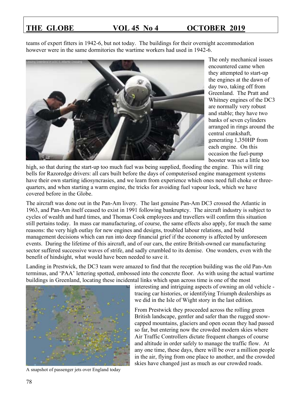teams of expert fitters in 1942-6, but not today. The buildings for their overnight accommodation however were in the same dormitories the wartime workers had used in 1942-6.



The only mechanical issues encountered came when they attempted to start-up the engines at the dawn of day two, taking off from Greenland. The Pratt and Whitney engines of the DC3 are normally very robust and stable; they have two banks of seven cylinders arranged in rings around the central crankshaft, generating 1,350HP from each engine. On this occasion the fuel-pump booster was set a little too

high, so that during the start-up too much fuel was being supplied, flooding the engine. This will ring bells for Razoredge drivers: all cars built before the days of computerised engine management systems have their own starting idiosyncrasies, and we learn from experience which ones need full choke or threequarters, and when starting a warm engine, the tricks for avoiding fuel vapour lock, which we have covered before in the Globe.

The aircraft was done out in the Pan-Am livery. The last genuine Pan-Am DC3 crossed the Atlantic in 1963, and Pan-Am itself ceased to exist in 1991 following bankruptcy. The aircraft industry is subject to cycles of wealth and hard times, and Thomas Cook employees and travellers will confirm this situation still pertains today. In mass car manufacturing, of course, the same effects also apply, for much the same reasons: the very high outlay for new engines and designs, troubled labour relations, and bold management decisions which can run into deep financial grief if the economy is affected by unforeseen events. During the lifetime of this aircraft, and of our cars, the entire British-owned car manufacturing sector suffered successive waves of strife, and sadly crumbled to its demise. One wonders, even with the benefit of hindsight, what would have been needed to save it.

Landing in Prestwick, the DC3 team were amazed to find that the reception building was the old Pan-Am terminus, and 'PAA' lettering spotted, embossed into the concrete floor. As with using the actual wartime buildings in Greenland, locating these incidental links which span across time is one of the most



A snapshot of passenger jets over England today

interesting and intriguing aspects of owning an old vehicle tracing car histories, or identifying Triumph dealerships as we did in the Isle of Wight story in the last edition.

From Prestwick they proceeded across the rolling green British landscape, gentler and safer than the rugged snowcapped mountains, glaciers and open ocean they had passed so far, but entering now the crowded modern skies where Air Traffic Controllers dictate frequent changes of course and altitude in order safely to manage the traffic flow. At any one time, these days, there will be over a million people in the air, flying from one place to another, and the crowded skies have changed just as much as our crowded roads.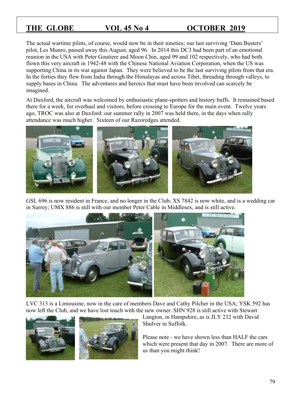The actual wartime pilots, of course, would now be in their nineties; our last surviving 'Dam Busters' pilot, Les Munro, passed away this August, aged 96. In 2014 this DC3 had been part of an emotional reunion in the USA with Peter Goutiere and Moon Chin, aged 99 and 102 respectively, who had both flown this very aircraft in 1942-48 with the Chinese National Aviation Corporation, when the US was supporting China in its war against Japan. They were believed to be the last surviving pilots from that era. In the forties they flew from India through the Himalayas and across Tibet, threading through valleys, to supply bases in China. The adventures and heroics that must have been involved can scarcely be imagined.

At Duxford, the aircraft was welcomed by enthusiastic plane-spotters and history buffs. It remained based there for a week, for overhaul and visitors, before crossing to Europe for the main event. Twelve years ago, TROC was also at Duxford: our summer rally in 2007 was held there, in the days when rally attendance was much higher. Sixteen of our Razoredges attended.



GSL 696 is now resident in France, and no longer in the Club; XS 7842 is now white, and is a wedding car in Surrey; UMX 886 is still with our member Peter Cable in Middlesex, and is still active.



LVC 313 is a Limousine, now in the care of members Dave and Cathy Pilcher in the USA; YSK 592 has now left the Club, and we have lost touch with the new owner. SHN 928 is still active with Stewart



Langton, in Hampshire, as is JLY 232 with David Shulver in Suffolk.

Please note - we have shown less than HALF the cars which were present that day in 2007. There are more of us than you might think!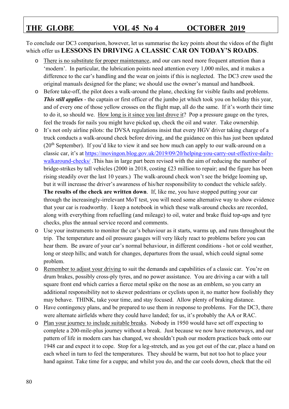To conclude our DC3 comparison, however, let us summarise the key points about the videos of the flight which offer us **LESSONS IN DRIVING A CLASSIC CAR ON TODAY'S ROADS**.

- o There is no substitute for proper maintenance, and our cars need more frequent attention than a 'modern'. In particular, the lubrication points need attention every 1,000 miles, and it makes a difference to the car's handling and the wear on joints if this is neglected. The DC3 crew used the original manuals designed for the plane; we should use the owner's manual and handbook.
- o Before take-off, the pilot does a walk-around the plane, checking for visible faults and problems. *This still applies* - the captain or first officer of the jumbo jet which took you on holiday this year, and of every one of those yellow crosses on the flight map, all do the same. If it's worth their time to do it, so should we. How long is it since you last drove it? Pop a pressure gauge on the tyres, feel the treads for nails you might have picked up, check the oil and water. Take ownership.
- o It's not only airline pilots: the DVSA regulations insist that every HGV driver taking charge of a truck conducts a walk-around check before driving, and the guidance on this has just been updated  $(20<sup>th</sup> September)$ . If you'd like to view it and see how much can apply to our walk-around on a classic car, it's at [https://movingon.blog.gov.uk/2019/09/20/helping-you-carry-out-effective-daily](https://movingon.blog.gov.uk/2019/09/20/helping-you-carry-out-effective-daily-walkaround-checks/)[walkaround-checks/](https://movingon.blog.gov.uk/2019/09/20/helping-you-carry-out-effective-daily-walkaround-checks/) .This has in large part been revised with the aim of reducing the number of bridge-strikes by tall vehicles (2000 in 2018, costing £23 million to repair; and the figure has been rising steadily over the last 10 years.) The walk-around check won't see the bridge looming up, but it will increase the driver's awareness of his/her responsibility to conduct the vehicle safely. **The results of the check are written down**. If, like me, you have stopped putting your car through the increasingly-irrelevant MoT test, you will need some alternative way to show evidence that your car is roadworthy. I keep a notebook in which these walk-around checks are recorded, along with everything from refuelling (and mileage) to oil, water and brake fluid top-ups and tyre checks, plus the annual service record and comments.
- o Use your instruments to monitor the car's behaviour as it starts, warms up, and runs throughout the trip. The temperature and oil pressure gauges will very likely react to problems before you can hear them. Be aware of your car's normal behaviour, in different conditions - hot or cold weather, long or steep hills; and watch for changes, departures from the usual, which could signal some problem.
- o Remember to adjust your driving to suit the demands and capabilities of a classic car. You're on drum brakes, possibly cross-ply tyres, and no power assistance. You are driving a car with a tall square front end which carries a fierce metal spike on the nose as an emblem, so you carry an additional responsibility not to skewer pedestrians or cyclists upon it, no matter how foolishly they may behave. THINK, take your time, and stay focused. Allow plenty of braking distance.
- o Have contingency plans, and be prepared to use them in response to problems. For the DC3, there were alternate airfields where they could have landed; for us, it's probably the AA or RAC.
- o Plan your journey to include suitable breaks. Nobody in 1950 would have set off expecting to complete a 200-mile-plus journey without a break. Just because we now have motorways, and our pattern of life in modern cars has changed, we shouldn't push our modern practices back onto our 1948 car and expect it to cope. Stop for a leg-stretch, and as you get out of the car, place a hand on each wheel in turn to feel the temperatures. They should be warm, but not too hot to place your hand against. Take time for a cuppa; and whilst you do, and the car cools down, check that the oil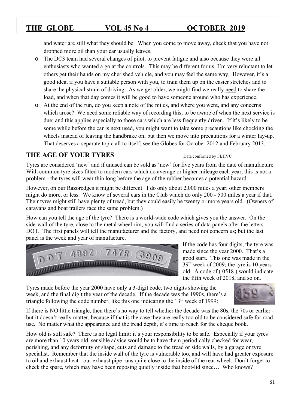and water are still what they should be. When you come to move away, check that you have not dropped more oil than your car usually leaves.

- o The DC3 team had several changes of pilot, to prevent fatigue and also because they were all enthusiasts who wanted a go at the controls. This may be different for us: I'm very reluctant to let others get their hands on my cherished vehicle, and you may feel the same way. However, it's a good idea, if you have a suitable person with you, to train them up on the easier stretches and to share the physical strain of driving. As we get older, we might find we really need to share the load, and when that day comes it will be good to have someone around who has experience.
- o At the end of the run, do you keep a note of the miles, and where you went, and any concerns which arose? We need some reliable way of recording this, to be aware of when the next service is due; and this applies especially to those cars which are less frequently driven. If it's likely to be some while before the car is next used, you might want to take some precautions like chocking the wheels instead of leaving the handbrake on; but then we move into precautions for a winter lay-up. That deserves a separate topic all to itself; see the Globes for October 2012 and February 2013.

## **THE AGE OF YOUR TYRES** Data confirmed by FBHVC

Tyres are considered 'new' and if unused can be sold as 'new' for five years from the date of manufacture. With common tyre sizes fitted to modern cars which do average or higher mileage each year, this is not a problem - the tyres will wear thin long before the age of the rubber becomes a potential hazard.

However, on our Razoredges it might be different. I do only about 2,000 miles a year; other members might do more, or less. We know of several cars in the Club which do only 200 - 500 miles a year if that. Their tyres might still have plenty of tread, but they could easily be twenty or more years old. (Owners of caravans and boat trailers face the same problem.)

How can you tell the age of the tyre? There is a world-wide code which gives you the answer. On the side-wall of the tyre, close to the metal wheel rim, you will find a series of data panels after the letters DOT. The first panels will tell the manufacturer and the factory, and need not concern us; but the last panel is the week and year of manufacture.



If the code has four digits, the tyre was made since the year 2000. That's a good start. This one was made in the  $39<sup>th</sup>$  week of 2009; the tyre is 10 years old. A code of ( 0518 ) would indicate the fifth week of 2018, and so on.

Tyres made before the year 2000 have only a 3-digit code, two digits showing the week, and the final digit the year of the decade. If the decade was the 1990s, there's a triangle following the code number, like this one indicating the  $13<sup>th</sup>$  week of 1999:



If there is NO little triangle, then there's no way to tell whether the decade was the 80s, the 70s or earlier but it doesn't really matter, because if that is the case they are really too old to be considered safe for road use. No matter what the appearance and the tread depth, it's time to reach for the cheque book.

How old is still safe? There is no legal limit: it's your responsibility to be safe. Especially if your tyres are more than 10 years old, sensible advice would be to have them periodically checked for wear, perishing, and any deformity of shape, cuts and damage to the tread or side walls, by a garage or tyre specialist. Remember that the inside wall of the tyre is vulnerable too, and will have had greater exposure to oil and exhaust heat - our exhaust pipe runs quite close to the inside of the rear wheel. Don't forget to check the spare, which may have been reposing quietly inside that boot-lid since… Who knows?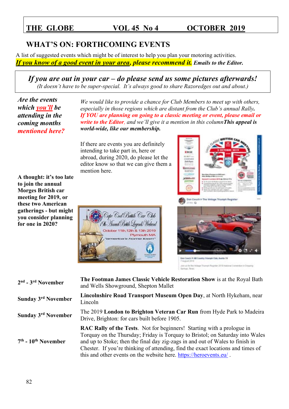## **WHAT'S ON: FORTHCOMING EVENTS**

A list of suggested events which might be of interest to help you plan your motoring activities. *If you know of a good event in your area, please recommend it. Emails to the Editor.*

*If you are out in your car – do please send us some pictures afterwards! (It doesn't have to be super-special. It's always good to share Razoredges out and about.)*

*Are the events which you'll be attending in the coming months mentioned here?*

*We would like to provide a chance for Club Members to meet up with others, especially in those regions which are distant from the Club's annual Rally. If YOU are planning on going to a classic meeting or event, please email or write to the Editor, and we'll give it a mention in this columnThis appeal is world-wide, like our membership.*

If there are events you are definitely intending to take part in, here or abroad, during 2020, do please let the editor know so that we can give them a mention here.

Cape Cod British Car Chili McBunael British Lagenets Wadanel & 13th 2019





| 2 <sup>nd</sup> - 3 <sup>rd</sup> November | The Footman James Classic Vehicle Restoration Show is at the Royal Bath<br>and Wells Showground, Shepton Mallet                                                                                                                                                                                                                                                                                   |
|--------------------------------------------|---------------------------------------------------------------------------------------------------------------------------------------------------------------------------------------------------------------------------------------------------------------------------------------------------------------------------------------------------------------------------------------------------|
| <b>Sunday 3rd November</b>                 | Lincolnshire Road Transport Museum Open Day, at North Hykeham, near<br>Lincoln                                                                                                                                                                                                                                                                                                                    |
| <b>Sunday 3rd November</b>                 | The 2019 London to Brighton Veteran Car Run from Hyde Park to Madeira<br>Drive, Brighton: for cars built before 1905.                                                                                                                                                                                                                                                                             |
| $7th$ - $10th$ November                    | RAC Rally of the Tests. Not for beginners! Starting with a prologue in<br>Torquay on the Thursday; Friday is Torquay to Bristol; on Saturday into Wales<br>and up to Stoke; then the final day zig-zags in and out of Wales to finish in<br>Chester. If you're thinking of attending, find the exact locations and times of<br>this and other events on the website here. https://heroevents.eu/. |

**A thought: it's too late to join the annual Morges British car meeting for 2019, or these two American gatherings - but might you consider planning for one in 2020?**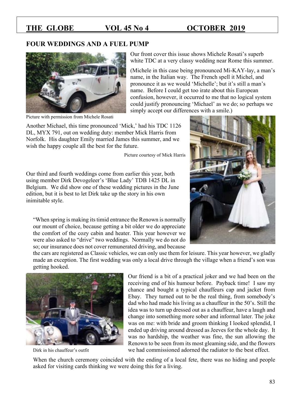### **FOUR WEDDINGS AND A FUEL PUMP**



Picture with permission from Michele Rosati

Our front cover this issue shows Michele Rosati's superb white TDC at a very classy wedding near Rome this summer.

(Michele in this case being pronounced Mi-KAY-lay, a man's name, in the Italian way. The French spell it Michel, and pronounce it as we would 'Michelle'; but it's still a man's name. Before I could get too irate about this European confusion, however, it occurred to me that no logical system could justify pronouncing 'Michael' as we do; so perhaps we simply accept our differences with a smile.)

Another Michael, this time pronounced 'Mick,' had his TDC 1126 DL, MYX 791, out on wedding duty: member Mick Harris from Norfolk. His daughter Emily married James this summer, and we wish the happy couple all the best for the future.

Picture courtesy of Mick Harris

Our third and fourth weddings come from earlier this year, both using member Dirk Devogeleer's 'Blue Lady' TDB 1425 DL in Belgium. We did show one of these wedding pictures in the June edition, but it is best to let Dirk take up the story in his own inimitable style.

"When spring is making its timid entrance the Renown is normally our mount of choice, because getting a bit older we do appreciate the comfort of the cozy cabin and heater. This year however we were also asked to "drive" two weddings. Normally we do not do so; our insurance does not cover remunerated driving, and because



the cars are registered as Classic vehicles, we can only use them for leisure. This year however, we gladly made an exception. The first wedding was only a local drive through the village when a friend's son was getting hooked.



Our friend is a bit of a practical joker and we had been on the receiving end of his humour before. Payback time! I saw my chance and bought a typical chauffeurs cap and jacket from Ebay. They turned out to be the real thing, from somebody's dad who had made his living as a chauffeur in the 50's. Still the idea was to turn up dressed out as a chauffeur, have a laugh and change into something more sober and informal later. The joke was on me: with bride and groom thinking I looked splendid, I ended up driving around dressed as Jeeves for the whole day. It was no hardship, the weather was fine, the sun allowing the Renown to be seen from its most gleaming side, and the flowers Dirk in his chauffeur's outfit we had commissioned adorned the radiator to the best effect.

When the church ceremony coincided with the ending of a local fete, there was no hiding and people asked for visiting cards thinking we were doing this for a living.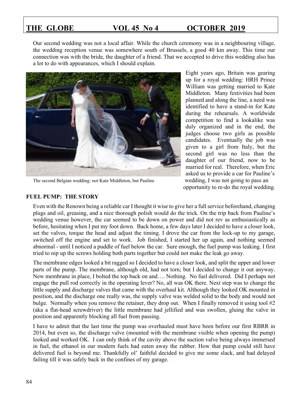Our second wedding was not a local affair. While the church ceremony was in a neighbouring village, the wedding reception venue was somewhere south of Brussels, a good 40 km away. This time our connection was with the bride, the daughter of a friend. That we accepted to drive this wedding also has a lot to do with appearances, which I should explain.



The second Belgian wedding: not Kate Middleton, but Pauline wedding, I was not going to pass an

Eight years ago, Britain was gearing up for a royal wedding: HRH Prince William was getting married to Kate Middleton. Many festivities had been planned and along the line, a need was identified to have a stand-in for Kate during the rehearsals. A worldwide competition to find a lookalike was duly organized and in the end, the judges choose two girls as possible candidates. Eventually the job was given to a girl from Italy, but the second girl was no less than the daughter of our friend, now to be married for real. Therefore, when Eric asked us to provide a car for Pauline's opportunity to re-do the royal wedding.

### **FUEL PUMP: THE STORY**

Even with the Renown being a reliable car I thought it wise to give her a full service beforehand, changing plugs and oil, greasing, and a nice thorough polish would do the trick. On the trip back from Pauline's wedding venue however, the car seemed to be down on power and did not rev as enthusiastically as before, hesitating when I put my foot down. Back home, a few days later I decided to have a closer look, set the valves, torque the head and adjust the timing. I drove the car from the lock-up to my garage, switched off the engine and set to work. Job finished, I started her up again, and nothing seemed abnormal - until I noticed a puddle of fuel below the car. Sure enough, the fuel pump was leaking. I first tried to nip up the screws holding both parts together but could not make the leak go away.

The membrane edges looked a bit ragged so I decided to have a closer look, and split the upper and lower parts of the pump. The membrane, although old, had not torn; but I decided to change it out anyway. New membrane in place, I bolted the top back on and…. Nothing. No fuel delivered. Did I perhaps not engage the pull rod correctly in the operating lever? No, all was OK there. Next step was to change the little supply and discharge valves that came with the overhaul kit. Although they looked OK mounted in position, and the discharge one really was, the supply valve was welded solid to the body and would not bulge. Normally when you remove the retainer, they drop out. When I finally removed it using tool #2 (aka a flat-head screwdriver) the little membrane had jellified and was swollen, gluing the valve in position and apparently blocking all fuel from passing.

I have to admit that the last time the pump was overhauled must have been before our first RBRR in 2014, but even so, the discharge valve (mounted with the membrane visible when opening the pump) looked and worked OK. I can only think of the cavity above the suction valve being always immersed in fuel, the ethanol in our modern fuels had eaten away the rubber. How that pump could still have delivered fuel is beyond me. Thankfully ol' faithful decided to give me some slack, and had delayed failing till it was safely back in the confines of my garage.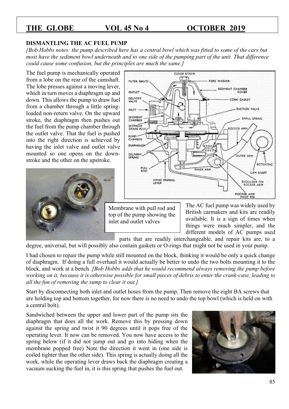### **DISMANTLING THE AC FUEL PUMP**

*[Bob Hobbs notes: the pump described here has a central bowl which was fitted to some of the cars but most have the sediment bowl underneath and to one side of the pumping part of the unit. That difference could cause some confusion, but the principles are much the same.]*

The fuel pump is mechanically operated from a lobe on the rear of the camshaft. The lobe presses against a moving lever, which in turn moves a diaphragm up and down. This allows the pump to draw fuel from a chamber through a little springloaded non-return valve. On the upward stroke, the diaphragm then pushes out the fuel from the pump chamber through the outlet valve. That the fuel is pushed into the right direction is achieved by having the inlet valve and outlet valve mounted so one opens on the downstroke and the other on the upstroke.





Membrane with pull rod and top of the pump showing the inlet and outlet valves

The AC fuel pump was widely used by British carmakers and kits are readily available. It is a sign of times when things were much simpler, and the different models of AC pumps used

parts that are readily interchangeable, and repair kits are, to a degree, universal, but will possibly also contain gaskets or O-rings that might not be used in your pump.

I had chosen to repair the pump while still mounted on the block, thinking it would be only a quick change of diaphragm. If doing a full overhaul it would actually be better to undo the two bolts mounting it to the block, and work at a bench. *[Bob Hobbs adds that he would recommend always removing the pump before working on it, because it is otherwise possible for small pieces of debris to enter the crank-case, leading to all the fun of removing the sump to clear it out.]*

Start by disconnecting both inlet and outlet hoses from the pump. Then remove the eight BA screws that are holding top and bottom together, for now there is no need to undo the top bowl (which is held on with a central bolt).

Sandwiched between the upper and lower part of the pump sits the diaphragm that does all the work. Remove this by pressing down against the spring and twist it 90 degrees until it pops free of the operating lever. It now can be removed. You now have access to the spring below (if it did not jump out and go into hiding when the membrane popped free) Note the direction it went in (one side is coiled tighter than the other side). This spring is actually doing all the work, while the operating lever draws back the diaphragm creating a vacuum sucking the fuel in, it is this spring that pushes the fuel out.

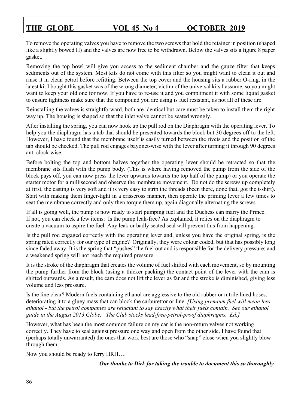To remove the operating valves you have to remove the two screws that hold the retainer in position (shaped like a slightly bowed H) and the valves are now free to be withdrawn. Below the valves sits a figure 8 paper gasket.

Removing the top bowl will give you access to the sediment chamber and the gauze filter that keeps sediments out of the system. Most kits do not come with this filter so you might want to clean it out and rinse it in clean petrol before refitting. Between the top cover and the housing sits a rubber O-ring, in the latest kit I bought this gasket was of the wrong diameter, victim of the universal kits I assume, so you might want to keep your old one for now. If you have to re-use it and you compliment it with some liquid gasket to ensure tightness make sure that the compound you are using is fuel resistant, as not all of these are.

Reinstalling the valves is straightforward, both are identical but care must be taken to install them the right way up. The housing is shaped so that the inlet valve cannot be seated wrongly.

After installing the spring, you can now hook up the pull rod on the Diaphragm with the operating lever. To help you the diaphragm has a tab that should be presented towards the block but 30 degrees off to the left. However, I have found that the membrane itself is easily turned between the rivets and the position of the tab should be checked. The pull rod engages bayonet-wise with the lever after turning it through 90 degrees anti clock wise.

Before bolting the top and bottom halves together the operating lever should be retracted so that the membrane sits flush with the pump body. (This is where having removed the pump from the side of the block pays off, you can now press the lever upwards towards the top half of the pump) or you operate the starter motor for a millisecond and observe the membrane movement. Do not do the screws up completely at first, the casting is very soft and it is very easy to strip the threads (been there, done that, got the t-shirt). Start with making them finger-tight in a crisscross manner, then operate the priming lever a few times to seat the membrane correctly and only then torque them up, again diagonally alternating the screws.

If all is going well, the pump is now ready to start pumping fuel and the Duchess can marry the Prince. If not, you can check a few items: Is the pump leak-free? As explained, it relies on the diaphragm to create a vacuum to aspire the fuel. Any leak or badly seated seal will prevent this from happening.

Is the pull rod engaged correctly with the operating lever and, unless you have the original spring, is the spring rated correctly for our type of engine? Originally, they were colour coded, but that has possibly long since faded away. It is the spring that "pushes" the fuel out and is responsible for the delivery pressure; and a weakened spring will not reach the required pressure.

It is the stroke of the diaphragm that creates the volume of fuel shifted with each movement, so by mounting the pump further from the block (using a thicker packing) the contact point of the lever with the cam is shifted outwards. As a result, the cam does not lift the lever as far and the stroke is diminished, giving less volume and less pressure.

Is the line clear? Modern fuels containing ethanol are aggressive to the old rubber or nitrile lined hoses, deteriorating it to a gluey mass that can block the carburettor or line. *[Using premium fuel will mean less ethanol - but the petrol companies are reluctant to say exactly what their fuels contain. See our ethanol guide in the August 2013 Globe. The Club stocks lead-free-petrol-proof diaphragms. Ed.]*

However, what has been the most common failure on my car is the non-return valves not working correctly. They have to seal against pressure one way and open from the other side. I have found that (perhaps totally unwarranted) the ones that work best are those who "snap" close when you slightly blow through them.

Now you should be ready to ferry HRH….

*Our thanks to Dirk for taking the trouble to document this so thoroughly.*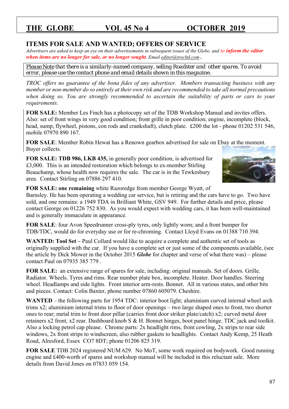### **ITEMS FOR SALE AND WANTED; OFFERS OF SERVICE**

*Advertisers are asked to keep an eye on their advertisements in subsequent issues of the Globe, and to inform the editor when items are no longer for sale, or no longer sought. Email [editor@trocltd.com](mailto:editor@trocltd.com) .*

*Please Note that there is a similarly-named company, selling Roadster and other spares. To avoid error, please use the contact phone and email details shown in this magazine.*

*TROC offers no guarantee of the bona fides of any advertiser. Members transacting business with any member or non-member do so entirely at their own risk and are recommended to take all normal precautions when doing so. You are strongly recommended to ascertain the suitability of parts or cars to your requirements.*

**FOR SALE:** Member Les Finch has a photocopy set of the TDB Workshop Manual and invites offers. Also: set of front wings in very good condition; front grille in poor condition; engine, incomplete (block, head, sump, flywheel, pistons, con rods and crankshaft), clutch plate. £200 the lot - phone 01202 531 546, mobile 07970 890 167.

**FOR SALE**: Member Robin Hewat has a Renown gearbox advertised for sale on Ebay at the moment. Buyer collects.

**FOR SALE: TDB 986, LKB 435,** in generally poor condition, is advertised for £3,000. This is an intended restoration which belongs to ex-member Stirling Beauchamp, whose health now requires the sale. The car is in the Tewkesbury area. Contact Stirling on 07886 297 410.



**FOR SALE: one remaining** white Razoredge from member George Wyatt, of

Barnsley. He has been operating a wedding car service, but is retiring and the cars have to go. Two have sold, and one remains: a 1949 TDA in Brilliant White, GSV 949. For further details and price, please contact George on 01226 752 830. As you would expect with wedding cars, it has been well-maintained and is generally immaculate in appearance.

**FOR SALE**: four Avon Speedrunner cross-ply tyres, only lightly worn; and a front bumper for TDB/TDC, would do for everyday use or for re-chroming. Contact Lloyd Evans on 01388 710 394.

**WANTED: Tool Set –** Paul Collard would like to acquire a complete and authentic set of tools as originally supplied with the car. If you have a complete set or just some of the components available, (see the article by Dick Mower in the October 2015 *Globe* for chapter and verse of what there was) – please contact Paul on 07935 385 779 .

**FOR SALE:** an extensive range of spares for sale, including: original manuals. Set of doors. Grille. Radiator. Wheels. Tyres and rims. Rear number plate box, incomplete. Heater. Door handles. Steering wheel. Headlamps and side lights. Front interior arm-rests. Bonnet. All in various states, and other bits and pieces. Contact: Colin Baxter, phone number 07860 605079. Cheshire.

**WANTED** – the following parts for 1954 TDC: interior boot light; aluminium curved internal wheel arch trims x2; aluminium internal trims to floor of door openings – two large shaped ones to front, two shorter ones to rear; metal trim to front door pillar (carries front door striker plate/catch) x2; curved metal door retainers x2 front, x2 rear. Dashboard knob S & H. Bonnet hinges, boot panel hinge. TDC jack and toolkit. Also a locking petrol cap please. Chrome parts: 2x headlight rims, front cowling, 2x strips to rear side windows, 2x front strips to windscreen, also rubber gaskets to headlights. Contact Andy Kemp, 25 Heath Road, Alresford, Essex CO7 8DT; phone 01206 825 319.

**FOR SALE** TDB 2024 registered NUM 629. No MoT, some work required on bodywork. Good running engine and £400-worth of spares and workshop manual will be included in this reluctant sale. More details from David Jones on 07833 059 154.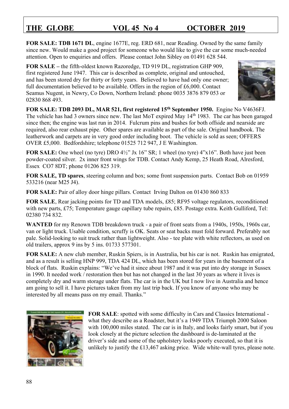**FOR SALE: TDB 1671 DL**, engine 1677E, reg. ERD 681, near Reading. Owned by the same family since new. Would make a good project for someone who would like to give the car some much-needed attention. Open to enquiries and offers. Please contact John Sibley on 01491 628 544.

**FOR SALE –** the fifth-oldest known Razoredge, TD 919 DL, registration GHP 909, first registered June 1947. This car is described as complete, original and untouched, and has been stored dry for thirty or forty years. Believed to have had only one owner; full documentation believed to be available. Offers in the region of £6,000. Contact Seamus Nugent, in Newry, Co Down, Northern Ireland: phone 0035 3876 879 053 or 02830 868 493.



**FOR SALE: TDB 2093 DL, MAR 521, first registered 15th September 1950.** Engine No V4636FJ. The vehicle has had 3 owners since new. The last MoT expired May 14<sup>th</sup> 1983. The car has been garaged since then; the engine was last run in 2014. Fulcrum pins and bushes for both offside and nearside are required, also rear exhaust pipe. Other spares are available as part of the sale. Original handbook. The leatherwork and carpets are in very good order including boot. The vehicle is sold as seen; OFFERS OVER £5,000. Bedfordshire; telephone 01525 712 947, J E Washington.

**FOR SALE:** One wheel (no tyre) DRO 4½" Jx 16" SR; 1 wheel (no tyre) 4"x16". Both have just been powder-coated silver. 2x inner front wings for TDB. Contact Andy Kemp, 25 Heath Road, Alresford, Essex CO7 8DT; phone 01206 825 319.

**FOR SALE, TD spares**, steering column and box; some front suspension parts. Contact Bob on 01959 533216 (near M25 J4).

**FOR SALE:** Pair of alloy door hinge pillars. Contact Irving Dalton on 01430 860 833

**FOR SALE**, Rear jacking points for TD and TDA models, £85; RF95 voltage regulators, reconditioned with new parts, £75; Temperature gauge capillary tube repairs, £85. Postage extra. Keith Gulliford, Tel: 02380 734 832.

**WANTED** for my Renown TDB breakdown truck - a pair of front seats from a 1940s, 1950s, 1960s car, van or light truck. Usable condition, scruffy is OK. Seats or seat backs must fold forward. Preferably not pale. Solid-looking to suit truck rather than lightweight. Also - tee plate with white reflectors, as used on old trailers, approx 9 ins by 5 ins. 01733 577301.

**FOR SALE:** A new club member, Ruskin Spiers, is in Australia, but his car is not. Ruskin has emigrated, and as a result is selling HNP 999, TDA 424 DL, which has been stored for years in the basement of a block of flats. Ruskin explains: "We've had it since about 1987 and it was put into dry storage in Sussex in 1990. It needed work / restoration then but has not changed in the last 30 years as where it lives is completely dry and warm storage under flats. The car is in the UK but I now live in Australia and hence am going to sell it. I have pictures taken from my last trip back. If you know of anyone who may be interested by all means pass on my email. Thanks."



**FOR SALE**: spotted with some difficulty in Cars and Classics International what they describe as a Roadster, but it's a 1949 TDA Triumph 2000 Saloon with 100,000 miles stated. The car is in Italy, and looks fairly smart, but if you look closely at the picture selection the dashboard is de-laminated at the driver's side and some of the upholstery looks poorly executed, so that it is unlikely to justify the £13,467 asking price. Wide white-wall tyres, please note.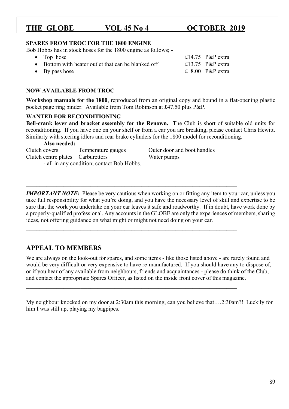89

# THE GLOBE VOL 45 No 4 0CTOBER 2019

### **SPARES FROM TROC FOR THE 1800 ENGINE**

Bob Hobbs has in stock hoses for the 1800 engine as follows; -

• Top hose  $\text{E14.75}$  P&P extra • Bottom with heater outlet that can be blanked off  $\qquad 13.75$  P&P extra • By pass hose  $\overline{2}$  By pass hose  $\overline{2}$  By pass hose  $\overline{2}$  By pass hose  $\overline{2}$  By pass hose  $\overline{2}$  By particle and  $\overline{2}$  By particle and  $\overline{2}$  By particle and  $\overline{2}$  By particle and  $\overline{2}$  By particl

### **NOW AVAILABLE FROM TROC**

**Workshop manuals for the 1800**, reproduced from an original copy and bound in a flat-opening plastic pocket page ring binder. Available from Tom Robinson at £47.50 plus P&P.

### **WANTED FOR RECONDITIONING**

**Bell-crank lever and bracket assembly for the Renown.** The Club is short of suitable old units for reconditioning. If you have one on your shelf or from a car you are breaking, please contact Chris Hewitt. Similarly with steering idlers and rear brake cylinders for the 1800 model for reconditioning.

### **Also needed:**

Clutch covers Temperature gauges Outer door and boot handles Clutch centre plates Carburettors Water pumps - all in any condition; contact Bob Hobbs.

*IMPORTANT NOTE*: Please be very cautious when working on or fitting any item to your car, unless you take full responsibility for what you're doing, and you have the necessary level of skill and expertise to be sure that the work you undertake on your car leaves it safe and roadworthy. If in doubt, have work done by a properly-qualified professional. Any accounts in the GLOBE are only the experiences of members, sharing ideas, not offering guidance on what might or might not need doing on your car.

\_\_\_\_\_\_\_\_\_\_\_\_\_\_\_\_\_\_\_\_\_\_\_\_\_\_\_\_\_\_\_\_\_\_\_\_\_\_\_\_\_\_\_\_\_\_\_\_\_\_\_\_\_\_\_\_\_\_\_\_\_\_

**\_\_\_\_\_\_\_\_\_\_\_\_\_\_\_\_\_\_\_\_\_\_\_\_\_\_\_\_\_\_\_\_\_\_\_\_\_\_\_\_\_\_\_\_\_\_\_\_\_\_\_\_\_\_\_\_\_\_\_\_\_\_**

**\_\_\_\_\_\_\_\_\_\_\_\_\_\_\_\_\_\_\_\_\_\_\_\_\_\_\_\_\_\_\_\_\_\_\_\_\_\_\_\_\_\_\_\_\_\_\_\_\_\_\_\_\_\_\_\_\_\_\_\_\_\_**

### **APPEAL TO MEMBERS**

We are always on the look-out for spares, and some items - like those listed above - are rarely found and would be very difficult or very expensive to have re-manufactured. If you should have any to dispose of, or if you hear of any available from neighbours, friends and acquaintances - please do think of the Club, and contact the appropriate Spares Officer, as listed on the inside front cover of this magazine.

My neighbour knocked on my door at 2:30am this morning, can you believe that….2:30am?! Luckily for him I was still up, playing my bagpipes.